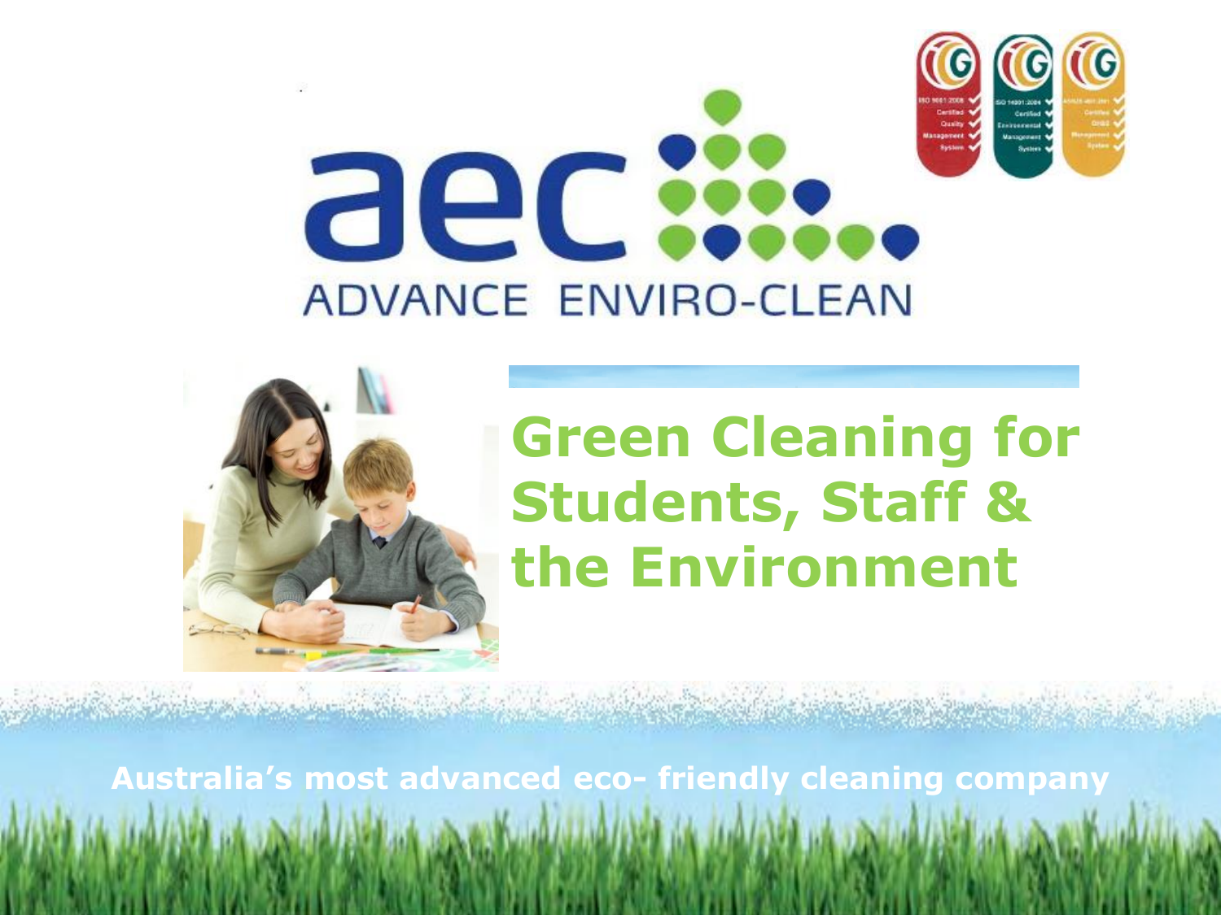



# **Green Cleaning for Students, Staff & the Environment**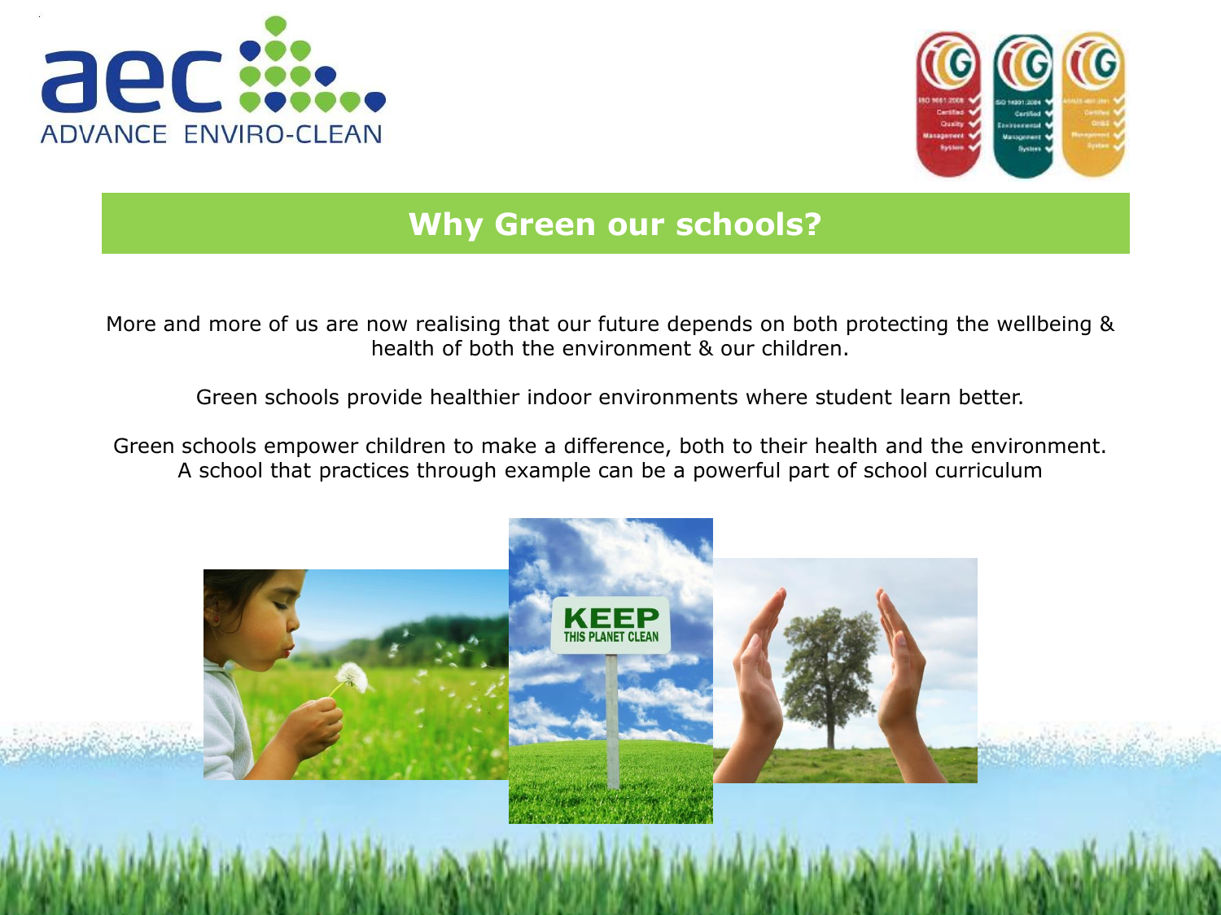



# **Why Green our schools?**

More and more of us are now realising that our future depends on both protecting the wellbeing & health of both the environment & our children.

Green schools provide healthier indoor environments where student learn better.

Green schools empower children to make a difference, both to their health and the environment. A school that practices through example can be a powerful part of school curriculum

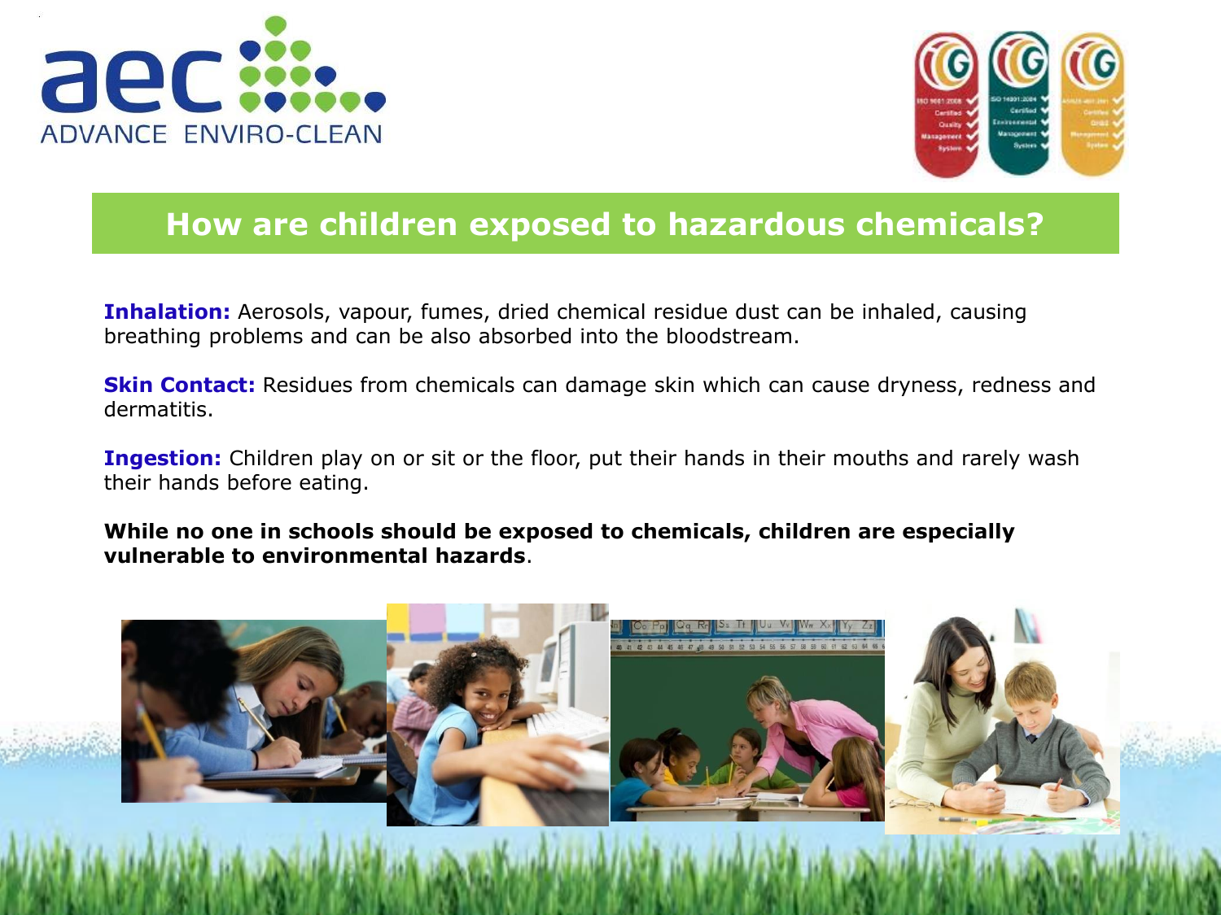



### **How are children exposed to hazardous chemicals?**

**Inhalation:** Aerosols, vapour, fumes, dried chemical residue dust can be inhaled, causing breathing problems and can be also absorbed into the bloodstream.

**Skin Contact:** Residues from chemicals can damage skin which can cause dryness, redness and dermatitis.

**Ingestion:** Children play on or sit or the floor, put their hands in their mouths and rarely wash their hands before eating.

**While no one in schools should be exposed to chemicals, children are especially vulnerable to environmental hazards**.

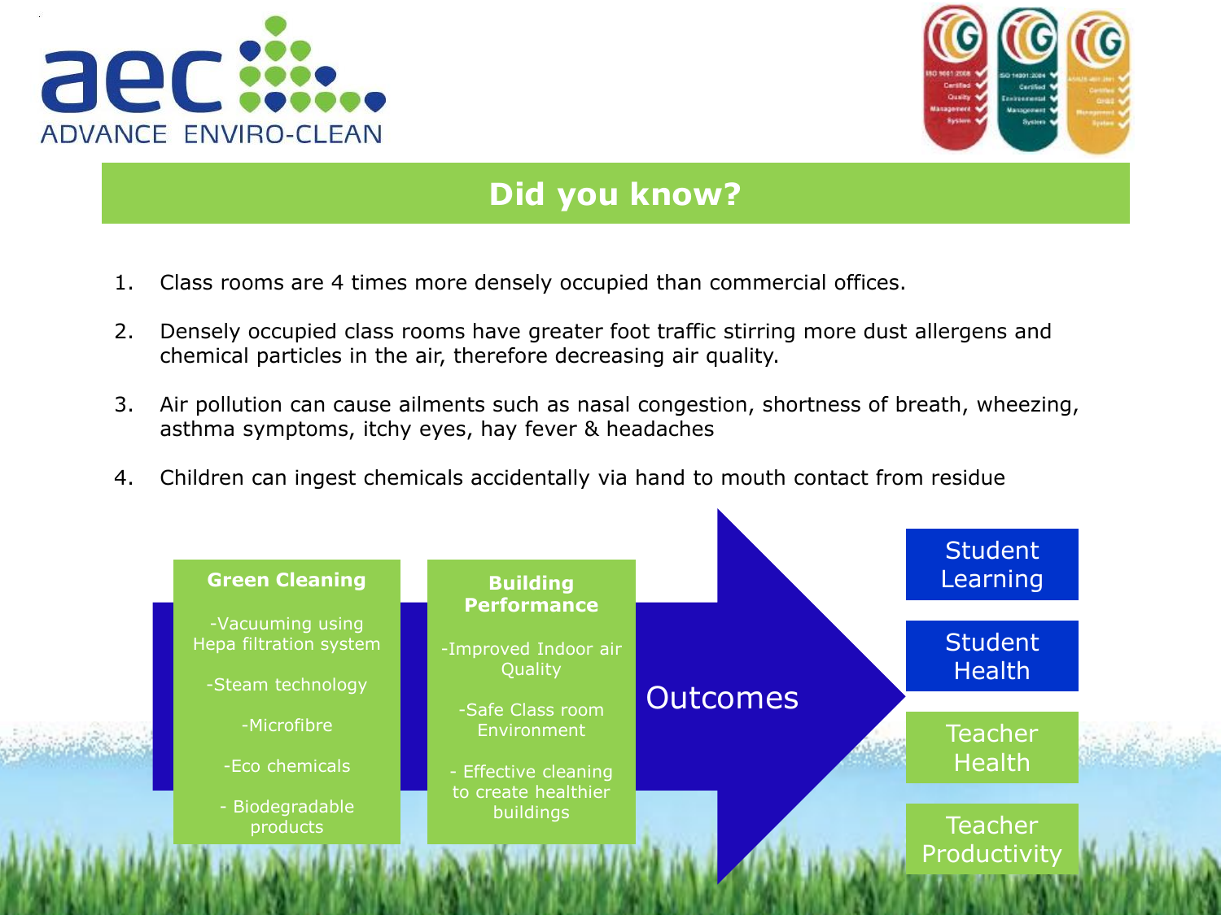



### **Did you know?**

- 1. Class rooms are 4 times more densely occupied than commercial offices.
- 2. Densely occupied class rooms have greater foot traffic stirring more dust allergens and chemical particles in the air, therefore decreasing air quality.
- 3. Air pollution can cause ailments such as nasal congestion, shortness of breath, wheezing, asthma symptoms, itchy eyes, hay fever & headaches
- 4. Children can ingest chemicals accidentally via hand to mouth contact from residue

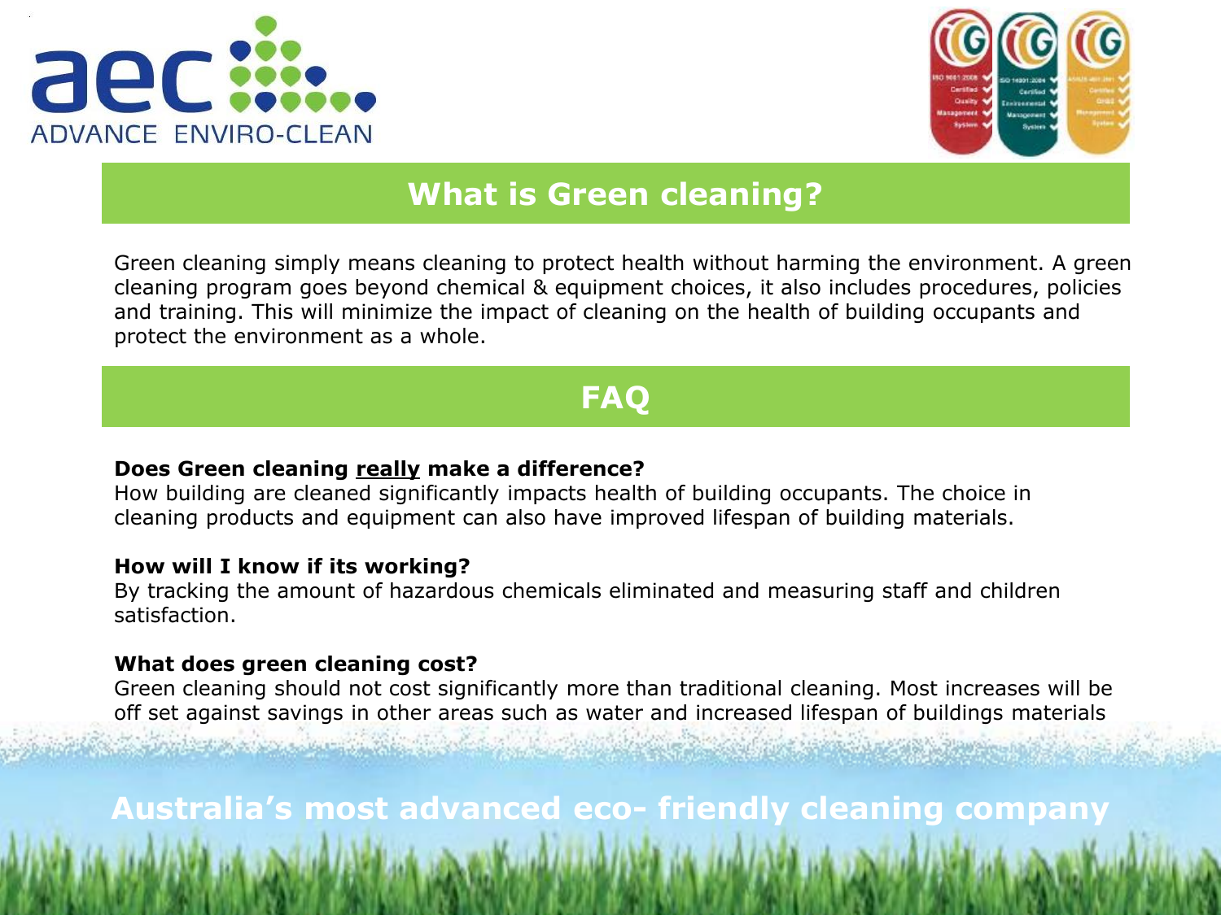



### **What is Green cleaning?**

Green cleaning simply means cleaning to protect health without harming the environment. A green cleaning program goes beyond chemical & equipment choices, it also includes procedures, policies and training. This will minimize the impact of cleaning on the health of building occupants and protect the environment as a whole.

## **FAQ**

#### **Does Green cleaning really make a difference?**

How building are cleaned significantly impacts health of building occupants. The choice in cleaning products and equipment can also have improved lifespan of building materials.

#### **How will I know if its working?**

By tracking the amount of hazardous chemicals eliminated and measuring staff and children satisfaction.

#### **What does green cleaning cost?**

Green cleaning should not cost significantly more than traditional cleaning. Most increases will be off set against savings in other areas such as water and increased lifespan of buildings materials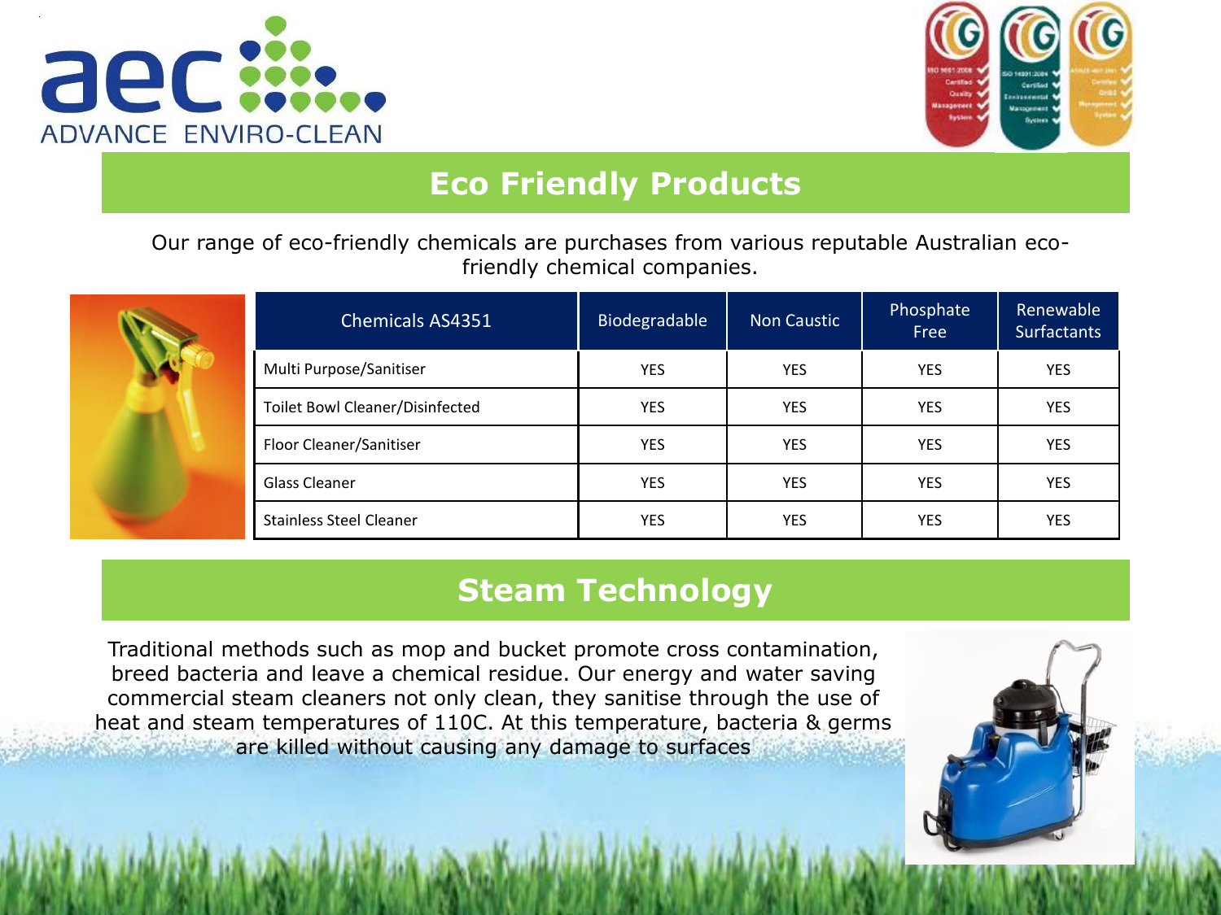



## **Eco Friendly Products**

Our range of eco-friendly chemicals are purchases from various reputable Australian ecofriendly chemical companies.



| <b>Chemicals AS4351</b>         | Biodegradable | <b>Non Caustic</b> | Phosphate<br>Free | Renewable<br><b>Surfactants</b> |
|---------------------------------|---------------|--------------------|-------------------|---------------------------------|
| Multi Purpose/Sanitiser         | <b>YES</b>    | <b>YES</b>         | <b>YES</b>        | <b>YES</b>                      |
| Toilet Bowl Cleaner/Disinfected | <b>YES</b>    | <b>YES</b>         | <b>YES</b>        | <b>YES</b>                      |
| Floor Cleaner/Sanitiser         | <b>YES</b>    | <b>YES</b>         | <b>YES</b>        | <b>YES</b>                      |
| Glass Cleaner                   | <b>YES</b>    | <b>YES</b>         | <b>YES</b>        | <b>YES</b>                      |
| <b>Stainless Steel Cleaner</b>  | <b>YES</b>    | <b>YES</b>         | <b>YES</b>        | YES                             |

### **Steam Technology**

Traditional methods such as mop and bucket promote cross contamination, breed bacteria and leave a chemical residue. Our energy and water saving commercial steam cleaners not only clean, they sanitise through the use of heat and steam temperatures of 110C. At this temperature, bacteria & germs are killed without causing any damage to surfaces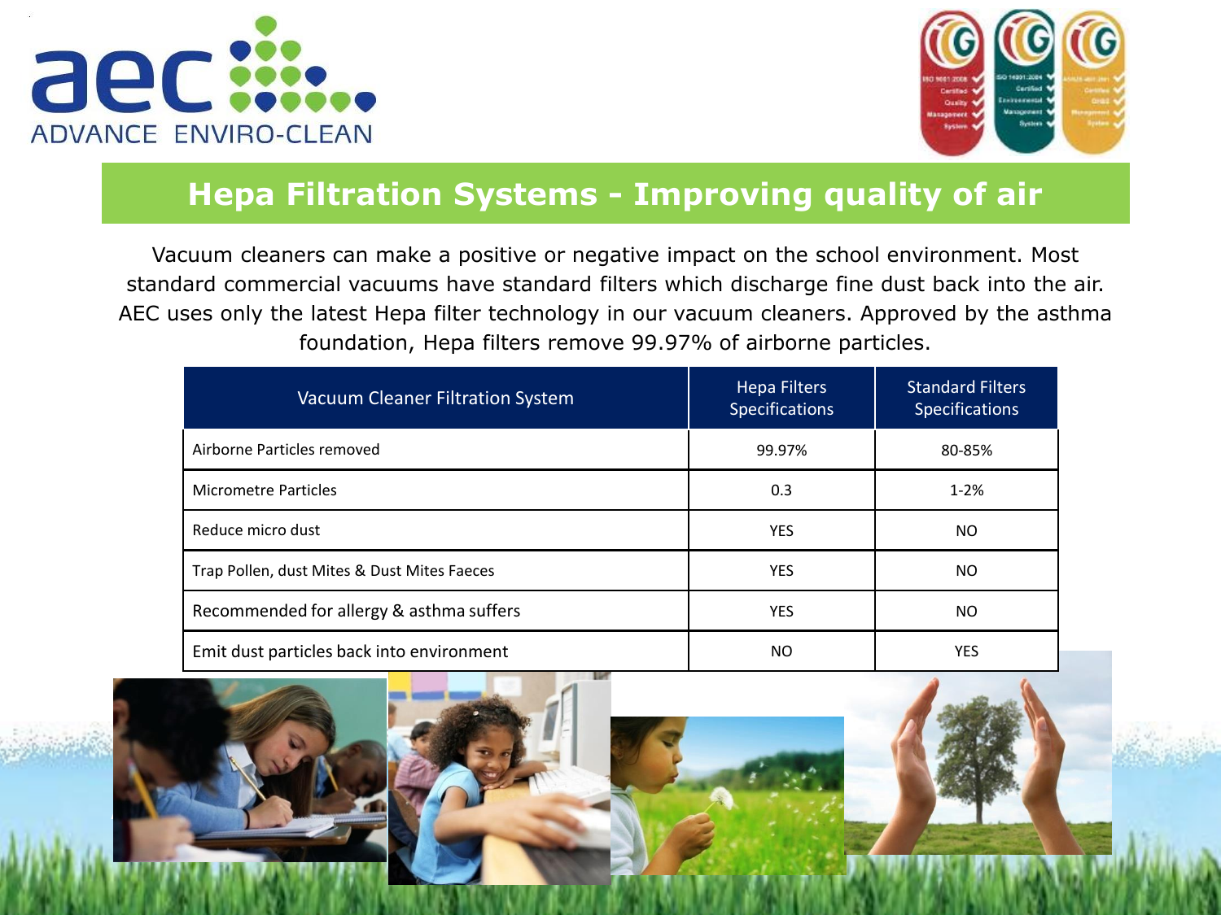



# **Hepa Filtration Systems - Improving quality of air**

Vacuum cleaners can make a positive or negative impact on the school environment. Most standard commercial vacuums have standard filters which discharge fine dust back into the air. AEC uses only the latest Hepa filter technology in our vacuum cleaners. Approved by the asthma foundation, Hepa filters remove 99.97% of airborne particles.

| <b>Vacuum Cleaner Filtration System</b>     | <b>Hepa Filters</b><br><b>Specifications</b> | <b>Standard Filters</b><br><b>Specifications</b> |  |
|---------------------------------------------|----------------------------------------------|--------------------------------------------------|--|
| Airborne Particles removed                  | 99.97%                                       | 80-85%                                           |  |
| Micrometre Particles                        | 0.3                                          | $1 - 2%$                                         |  |
| Reduce micro dust                           | <b>YES</b>                                   | NO.                                              |  |
| Trap Pollen, dust Mites & Dust Mites Faeces | <b>YES</b>                                   | <b>NO</b>                                        |  |
| Recommended for allergy & asthma suffers    | <b>YES</b>                                   | NO.                                              |  |
| Emit dust particles back into environment   | NO.                                          | YES                                              |  |

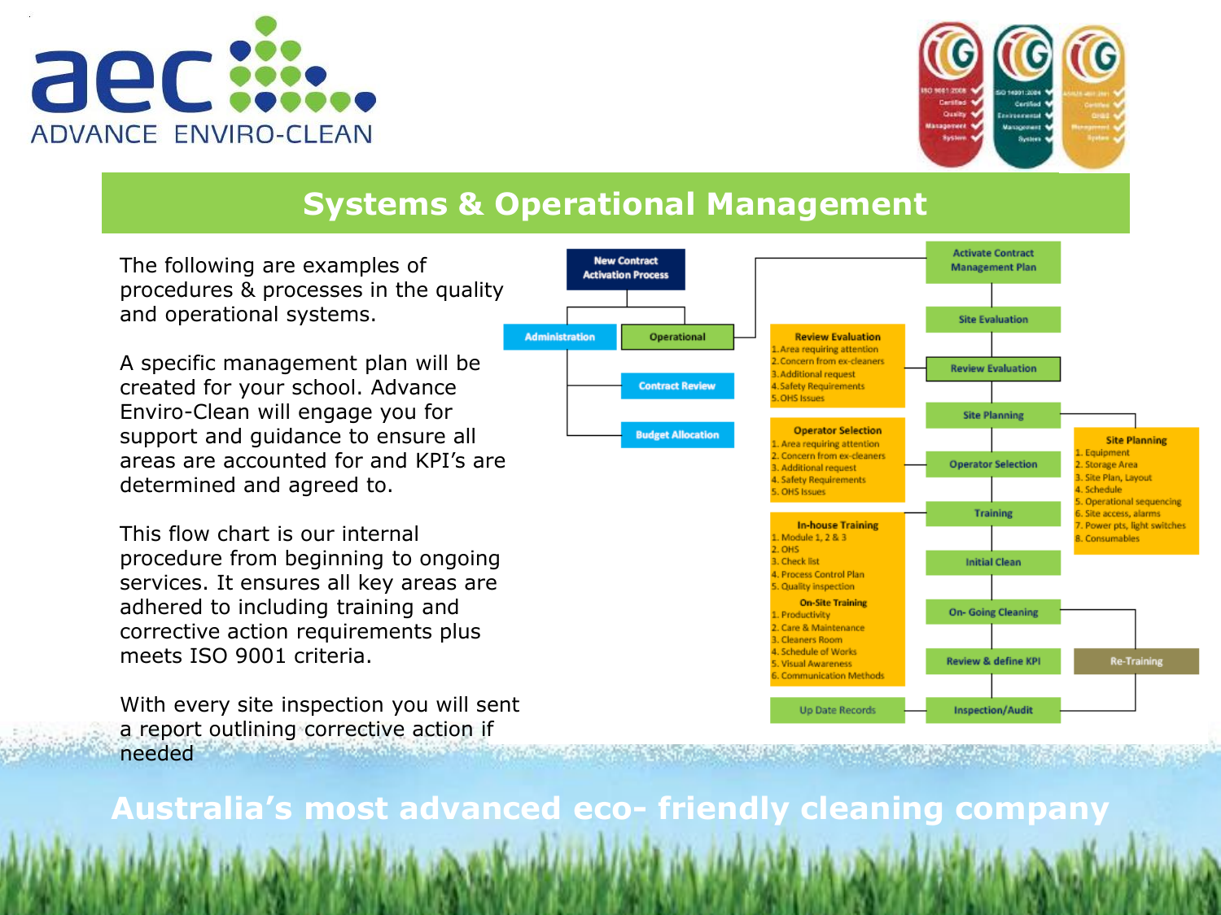



# **Systems & Operational Management**

The following are examples of procedures & processes in the quality and operational systems.

A specific management plan will be created for your school. Advance Enviro-Clean will engage you for support and guidance to ensure all areas are accounted for and KPI's are determined and agreed to.

This flow chart is our internal procedure from beginning to ongoing services. It ensures all key areas are adhered to including training and corrective action requirements plus meets ISO 9001 criteria.

With every site inspection you will sent a report outlining corrective action if needed

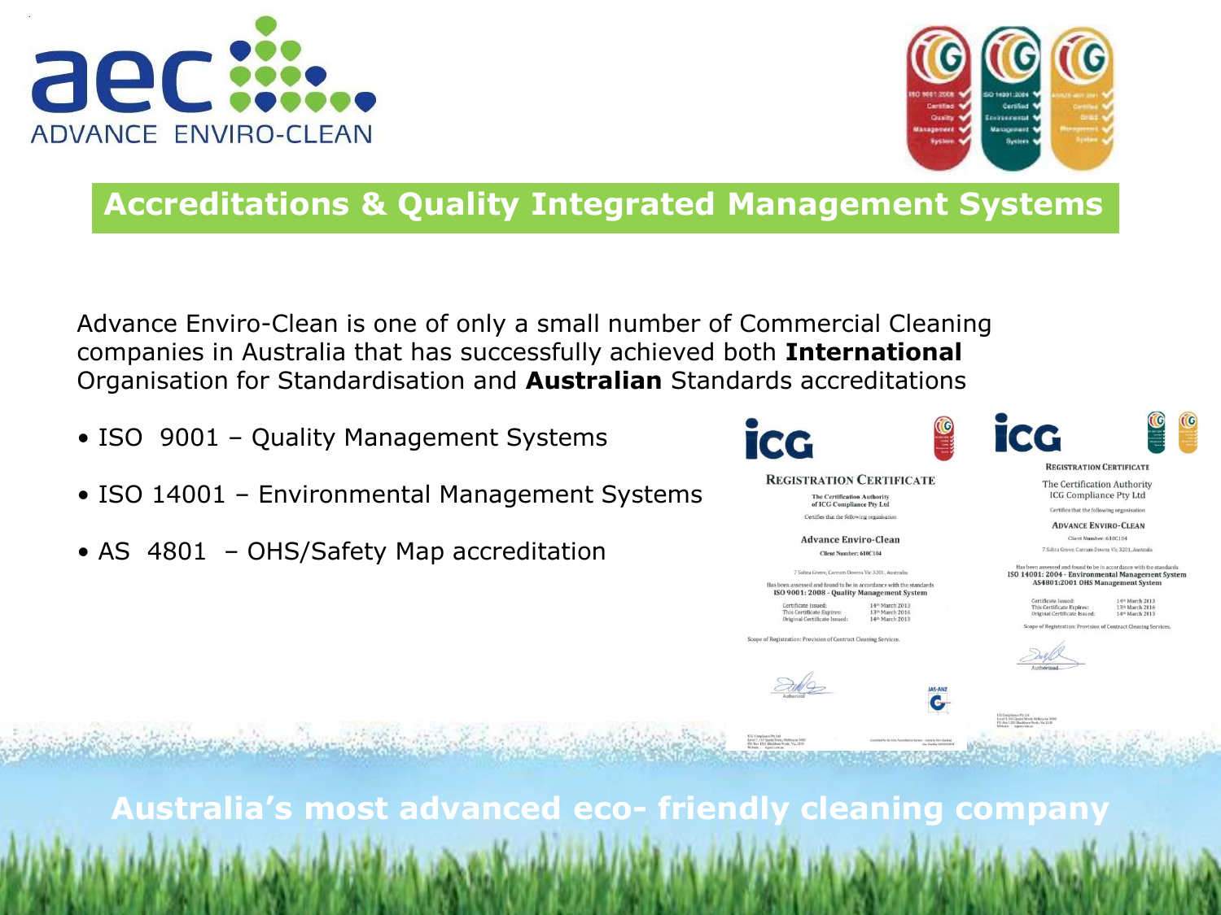



# **Accreditations & Quality Integrated Management Systems**

Advance Enviro-Clean is one of only a small number of Commercial Cleaning companies in Australia that has successfully achieved both **International**  Organisation for Standardisation and **Australian** Standards accreditations

- ISO 9001 Quality Management Systems
- ISO 14001 Environmental Management Systems
- AS 4801 OHS/Safety Map accreditation